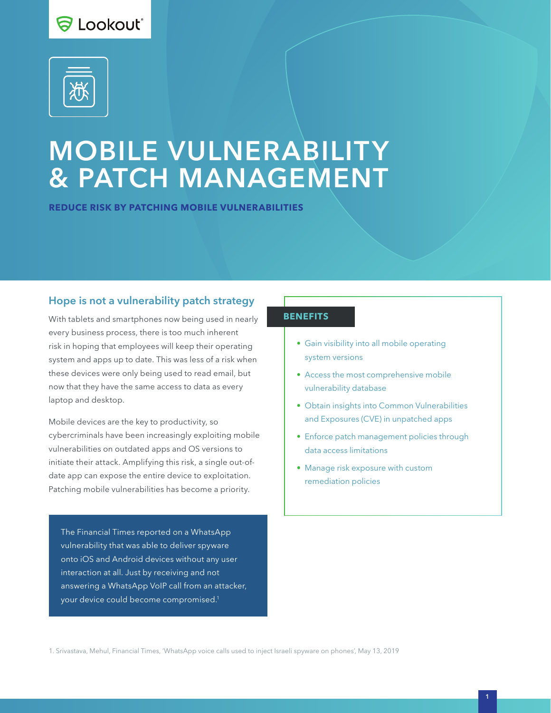



# MOBILE VULNERABILITY & PATCH MANAGEMENT

**REDUCE RISK BY PATCHING MOBILE VULNERABILITIES**

## Hope is not a vulnerability patch strategy

With tablets and smartphones now being used in nearly every business process, there is too much inherent risk in hoping that employees will keep their operating system and apps up to date. This was less of a risk when these devices were only being used to read email, but now that they have the same access to data as every laptop and desktop.

Mobile devices are the key to productivity, so cybercriminals have been increasingly exploiting mobile vulnerabilities on outdated apps and OS versions to initiate their attack. Amplifying this risk, a single out-ofdate app can expose the entire device to exploitation. Patching mobile vulnerabilities has become a priority.

The Financial Times reported on a WhatsApp vulnerability that was able to deliver spyware onto iOS and Android devices without any user interaction at all. Just by receiving and not answering a WhatsApp VoIP call from an attacker, your device could become compromised.1

#### **BENEFITS**

- Gain visibility into all mobile operating system versions
- Access the most comprehensive mobile vulnerability database
- Obtain insights into Common Vulnerabilities and Exposures (CVE) in unpatched apps
- Enforce patch management policies through data access limitations
- Manage risk exposure with custom remediation policies

1. Srivastava, Mehul, Financial Times, 'WhatsApp voice calls used to inject Israeli spyware on phones', May 13, 2019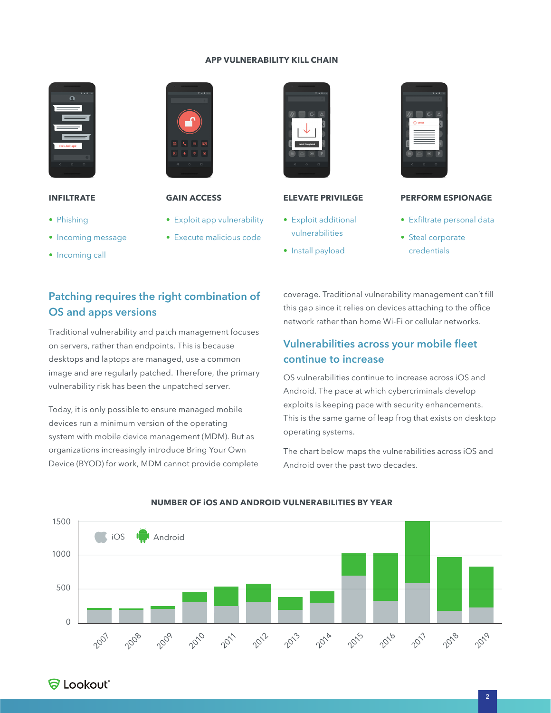#### **APP VULNERABILITY KILL CHAIN**



### **INFILTRATE**

- Phishing
- Incoming message
- Incoming call



### **GAIN ACCESS**

- Exploit app vulnerability
- Execute malicious code
- Install payload

**ELEVATE PRIVILEGE**

• Exploit additional vulnerabilities



#### **PERFORM ESPIONAGE**

- Exfiltrate personal data
- Steal corporate credentials

# Patching requires the right combination of OS and apps versions

Traditional vulnerability and patch management focuses on servers, rather than endpoints. This is because desktops and laptops are managed, use a common image and are regularly patched. Therefore, the primary vulnerability risk has been the unpatched server.

Today, it is only possible to ensure managed mobile devices run a minimum version of the operating system with mobile device management (MDM). But as organizations increasingly introduce Bring Your Own Device (BYOD) for work, MDM cannot provide complete coverage. Traditional vulnerability management can't fill this gap since it relies on devices attaching to the office network rather than home Wi-Fi or cellular networks.

## Vulnerabilities across your mobile fleet continue to increase

OS vulnerabilities continue to increase across iOS and Android. The pace at which cybercriminals develop exploits is keeping pace with security enhancements. This is the same game of leap frog that exists on desktop operating systems.

The chart below maps the vulnerabilities across iOS and Android over the past two decades.



#### **NUMBER OF iOS AND ANDROID VULNERABILITIES BY YEAR**

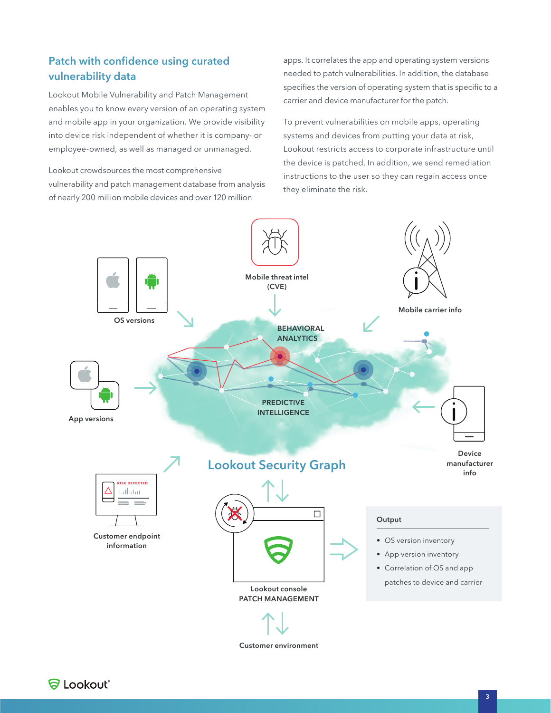## Patch with confidence using curated vulnerability data

Lookout Mobile Vulnerability and Patch Management enables you to know every version of an operating system and mobile app in your organization. We provide visibility into device risk independent of whether it is company- or employee-owned, as well as managed or unmanaged.

Lookout crowdsources the most comprehensive vulnerability and patch management database from analysis of nearly 200 million mobile devices and over 120 million

apps. It correlates the app and operating system versions needed to patch vulnerabilities. In addition, the database specifies the version of operating system that is specific to a carrier and device manufacturer for the patch.

To prevent vulnerabilities on mobile apps, operating systems and devices from putting your data at risk, Lookout restricts access to corporate infrastructure until the device is patched. In addition, we send remediation instructions to the user so they can regain access once they eliminate the risk.



Customer environment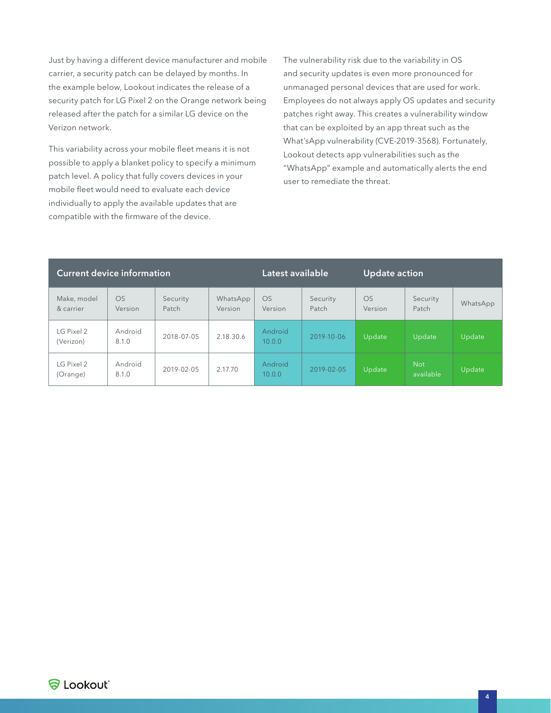Just by having a different device manufacturer and mobile carrier, a security patch can be delayed by months. In the example below, Lookout indicates the release of a security patch for LG Pixel 2 on the Orange network being released after the patch for a similar LG device on the Verizon network.

This variability across your mobile fleet means it is not possible to apply a blanket policy to specify a minimum patch level. A policy that fully covers devices in your mobile fleet would need to evaluate each device individually to apply the available updates that are compatible with the firmware of the device.

The vulnerability risk due to the variability in OS and security updates is even more pronounced for unmanaged personal devices that are used for work. Employees do not always apply OS updates and security patches right away. This creates a vulnerability window that can be exploited by an app threat such as the What'sApp vulnerability (CVE-2019-3568). Fortunately, Lookout detects app vulnerabilities such as the "WhatsApp" example and automatically alerts the end user to remediate the threat.

| <b>Current device information</b> |                  |                   |                     | Latest available     |                   | <b>Update action</b> |                         |          |
|-----------------------------------|------------------|-------------------|---------------------|----------------------|-------------------|----------------------|-------------------------|----------|
| Make, model<br>& carrier          | OS<br>Version    | Security<br>Patch | WhatsApp<br>Version | <b>OS</b><br>Version | Security<br>Patch | OS<br>Version        | Security<br>Patch       | WhatsApp |
| $LG$ Pixel 2<br>(Verizon)         | Android<br>8.1.0 | 2018-07-05        | 2.18.30.6           | Android<br>10.0.0    | 2019-10-06        | Update               | Update                  | Update   |
| LG Pixel 2<br>(Orange)            | Android<br>8.1.0 | 2019-02-05        | 2.17.70             | Android<br>10.0.0    | 2019-02-05        | Update               | <b>Not</b><br>available | Update   |